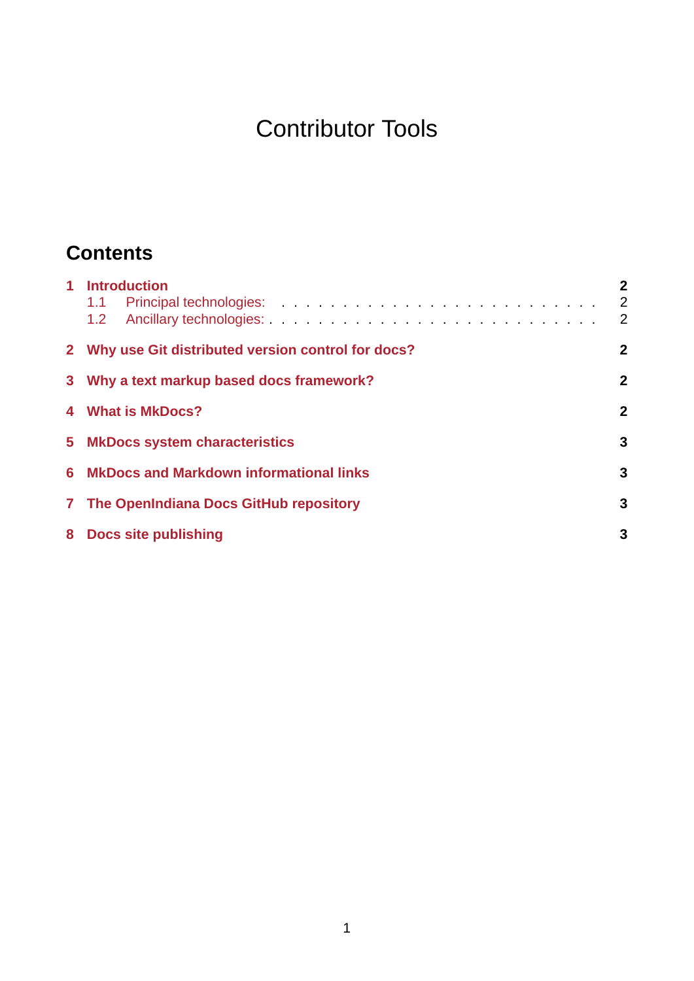# Contributor Tools

# **Contents**

| 1 Introduction<br>1.1<br>1.2                                | $\mathbf{2}$<br>$\overline{2}$<br>2 |
|-------------------------------------------------------------|-------------------------------------|
| 2 Why use Git distributed version control for docs?         | $\overline{2}$                      |
| $\overline{2}$<br>3 Why a text markup based docs framework? |                                     |
| 4 What is MkDocs?                                           | $\mathbf{2}$                        |
| 5 MkDocs system characteristics                             |                                     |
| 6 MkDocs and Markdown informational links                   | 3                                   |
| 7 The OpenIndiana Docs GitHub repository                    | 3                                   |
| 8 Docs site publishing                                      | 3                                   |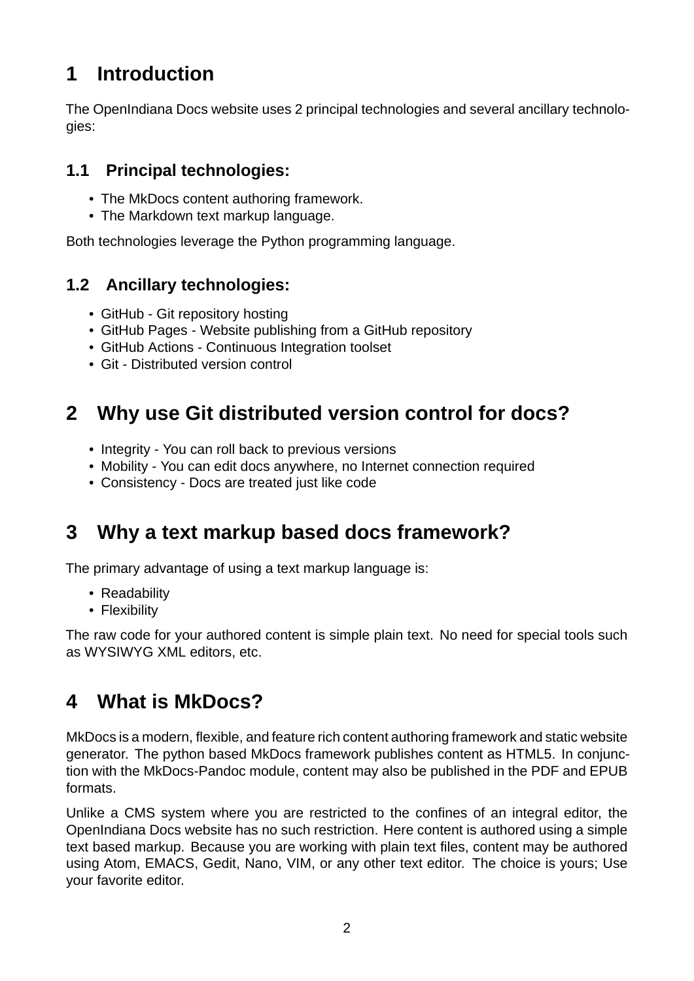### <span id="page-1-0"></span>**1 Introduction**

The OpenIndiana Docs website uses 2 principal technologies and several ancillary technologies:

#### <span id="page-1-1"></span>**1.1 Principal technologies:**

- The MkDocs content authoring framework.
- The Markdown text markup language.

Both technologies leverage the Python programming language.

#### <span id="page-1-2"></span>**1.2 Ancillary technologies:**

- GitHub Git repository hosting
- GitHub Pages Website publishing from a GitHub repository
- GitHub Actions Continuous Integration toolset
- Git Distributed version control

### <span id="page-1-3"></span>**2 Why use Git distributed version control for docs?**

- Integrity You can roll back to previous versions
- Mobility You can edit docs anywhere, no Internet connection required
- Consistency Docs are treated just like code

# <span id="page-1-4"></span>**3 Why a text markup based docs framework?**

The primary advantage of using a text markup language is:

- Readability
- Flexibility

The raw code for your authored content is simple plain text. No need for special tools such as WYSIWYG XML editors, etc.

# <span id="page-1-5"></span>**4 What is MkDocs?**

MkDocs is a modern, flexible, and feature rich content authoring framework and static website generator. The python based MkDocs framework publishes content as HTML5. In conjunction with the MkDocs-Pandoc module, content may also be published in the PDF and EPUB formats.

Unlike a CMS system where you are restricted to the confines of an integral editor, the OpenIndiana Docs website has no such restriction. Here content is authored using a simple text based markup. Because you are working with plain text files, content may be authored using Atom, EMACS, Gedit, Nano, VIM, or any other text editor. The choice is yours; Use your favorite editor.